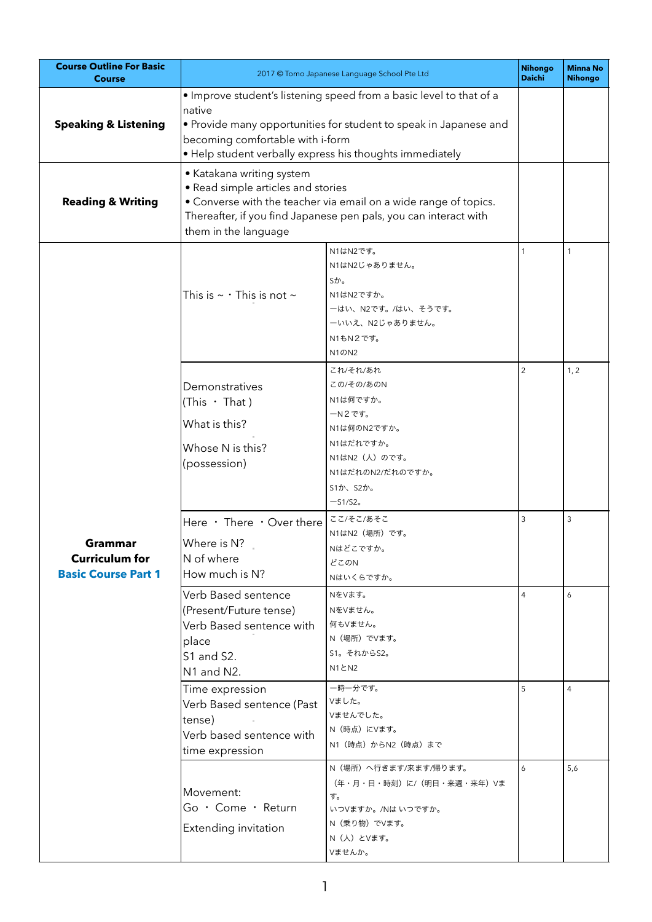| <b>Course Outline For Basic</b><br><b>Course</b>               | 2017 © Tomo Japanese Language School Pte Ltd                                                                                                                                                                                                       |                                                                                                                                       | <b>Nihongo</b><br><b>Daichi</b> | <b>Minna No</b><br><b>Nihongo</b> |
|----------------------------------------------------------------|----------------------------------------------------------------------------------------------------------------------------------------------------------------------------------------------------------------------------------------------------|---------------------------------------------------------------------------------------------------------------------------------------|---------------------------------|-----------------------------------|
| <b>Speaking &amp; Listening</b>                                | . Improve student's listening speed from a basic level to that of a<br>native<br>• Provide many opportunities for student to speak in Japanese and<br>becoming comfortable with i-form<br>• Help student verbally express his thoughts immediately |                                                                                                                                       |                                 |                                   |
| <b>Reading &amp; Writing</b>                                   | • Katakana writing system<br>• Read simple articles and stories<br>• Converse with the teacher via email on a wide range of topics.<br>Thereafter, if you find Japanese pen pals, you can interact with<br>them in the language                    |                                                                                                                                       |                                 |                                   |
| Grammar<br><b>Curriculum for</b><br><b>Basic Course Part 1</b> | This is $\sim$ $\cdot$ This is not $\sim$                                                                                                                                                                                                          | N1はN2です。<br>N1はN2じゃありません。<br>Sか。<br>N1はN2ですか。<br>ーはい、N2です。/はい、そうです。<br>ーいいえ、N2じゃありません。<br>N1もN2です。<br>N1@N2                           | $\mathbf{1}$                    | $\mathbf{1}$                      |
|                                                                | Demonstratives<br>(This $\cdot$ That)<br>What is this?<br>Whose N is this?<br>(possession)                                                                                                                                                         | これ/それ/あれ<br>この/その/あのN<br>N1は何ですか。<br>ーN2です。<br>N1は何のN2ですか。<br>N1はだれですか。<br>N1はN2 (人) のです。<br>N1はだれのN2/だれのですか。<br>S1か、S2か。<br>$-51/52$ | $\overline{2}$                  | 1, 2                              |
|                                                                | Here · There · Over there<br>Where is N?<br>N of where<br>How much is N?                                                                                                                                                                           | ここ/そこ/あそこ<br>N1はN2 (場所) です。<br>Nはどこですか。<br>どこのN<br>Nはいくらですか。                                                                          | 3                               | 3                                 |
|                                                                | Verb Based sentence<br>(Present/Future tense)<br>Verb Based sentence with<br>place<br>S1 and S2.<br>N1 and N2.                                                                                                                                     | NをVます。<br>NをVません。<br>何もVません。<br>N (場所) でVます。<br>S1。それからS2。<br>N1とN2                                                                   | $\overline{4}$                  | 6                                 |
|                                                                | Time expression<br>Verb Based sentence (Past<br>tense)<br>Verb based sentence with<br>time expression                                                                                                                                              | 一時一分です。<br>Vました。<br>Vませんでした。<br>N (時点) にVます。<br>N1 (時点) からN2 (時点) まで                                                                  | 5                               | $\overline{4}$                    |
|                                                                | Movement:<br>Go · Come · Return<br>Extending invitation                                                                                                                                                                                            | N (場所) へ行きます/来ます/帰ります。<br>(年·月·日·時刻)に/(明日·来週·来年)Vま<br>す。<br>いつVますか。/Nはいつですか。<br>N (乗り物) でVます。<br>N (人) とVます。<br>Vませんか。                | 6                               | 5,6                               |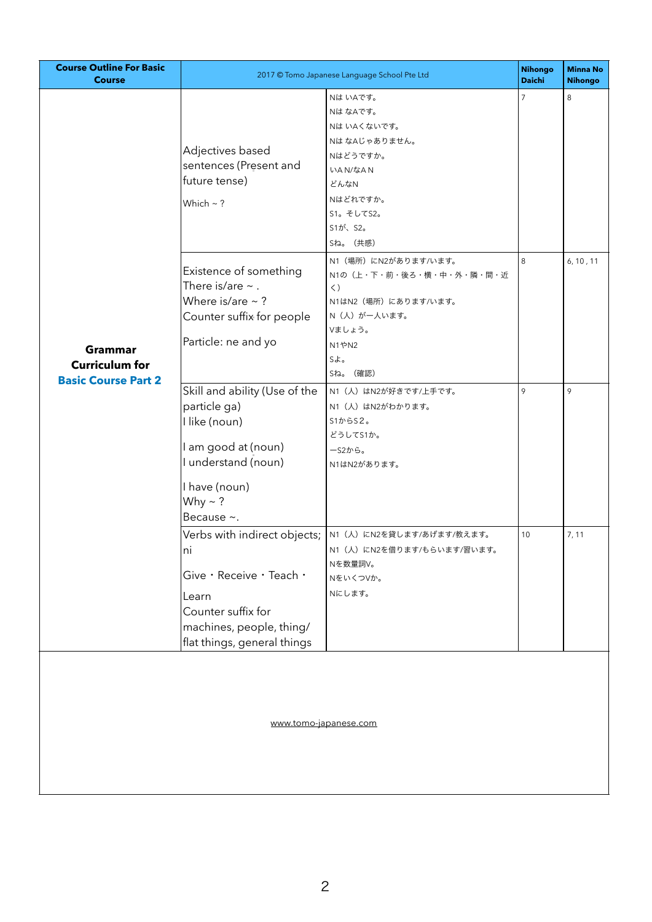| <b>Course Outline For Basic</b><br><b>Course</b>                      | 2017 © Tomo Japanese Language School Pte Ltd                                                                                                                |                                                                                                                                                   | <b>Nihongo</b><br><b>Daichi</b> | <b>Minna No</b><br><b>Nihongo</b> |
|-----------------------------------------------------------------------|-------------------------------------------------------------------------------------------------------------------------------------------------------------|---------------------------------------------------------------------------------------------------------------------------------------------------|---------------------------------|-----------------------------------|
| <b>Grammar</b><br><b>Curriculum for</b><br><b>Basic Course Part 2</b> | Adjectives based<br>sentences (Present and<br>future tense)<br>Which $\sim$ ?                                                                               | Nは いAです。<br>NはなAです。<br>Nは いAくないです。<br>NはなAじゃありません。<br>Nはどうですか。<br>いAN/なAN<br>どんなN<br>Nはどれですか。<br>S1。そしてS2。<br>S1が、S2。<br>Sね。 (共感)                 | $\overline{7}$                  | 8                                 |
|                                                                       | Existence of something<br>There is/are $\sim$ .<br>Where is/are $\sim$ ?<br>Counter suffix for people<br>Particle: ne and yo                                | N1 (場所) にN2があります/います。<br>N1の (上·下·前·後ろ·横·中·外·隣·間·近<br>$\langle$ )<br>N1はN2 (場所) にあります/います。<br>N (人) がー人います。<br>Vましょう。<br>N1やN2<br>Sよ。<br>Sね。 (確認) | 8                               | 6, 10, 11                         |
|                                                                       | Skill and ability (Use of the<br>particle ga)<br>I like (noun)<br>I am good at (noun)<br>I understand (noun)<br>I have (noun)<br>Why $\sim$ ?<br>Because ~. | N1 (人) はN2が好きです/上手です。<br>N1 (人) はN2がわかります。<br>S1D5S2<br>どうしてS1か。<br>ーS2から。<br>N1はN2があります。                                                         | 9                               | 9                                 |
|                                                                       | ni<br>Give · Receive · Teach ·<br>Learn<br>Counter suffix for<br>machines, people, thing/<br>flat things, general things                                    | Verbs with indirect objects;   N1 (人) にN2を貸します/あげます/教えます。<br>N1 (人) にN2を借ります/もらいます/習います。<br>Nを数量詞V。<br>NをいくつVか。<br>Nにします。                         | 10                              | 7, 11                             |
| www.tomo-japanese.com                                                 |                                                                                                                                                             |                                                                                                                                                   |                                 |                                   |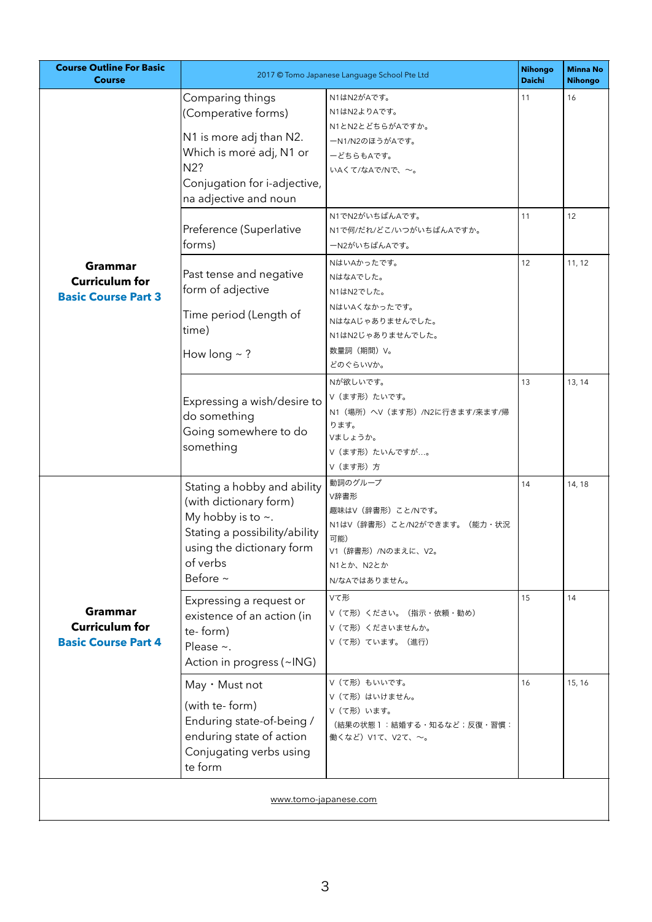| <b>Course Outline For Basic</b><br><b>Course</b>                      | 2017 © Tomo Japanese Language School Pte Ltd                                                                                                                                |                                                                                                                               | <b>Nihongo</b><br><b>Daichi</b> | <b>Minna No</b><br><b>Nihongo</b> |
|-----------------------------------------------------------------------|-----------------------------------------------------------------------------------------------------------------------------------------------------------------------------|-------------------------------------------------------------------------------------------------------------------------------|---------------------------------|-----------------------------------|
| <b>Grammar</b><br><b>Curriculum for</b><br><b>Basic Course Part 3</b> | Comparing things<br>(Comperative forms)<br>N1 is more adj than N2.<br>Which is more adj, N1 or<br>N2?<br>Conjugation for i-adjective,<br>na adjective and noun              | N1はN2がAです。<br>N1はN2よりAです。<br>N1とN2とどちらがAですか。<br>ーN1/N2のほうがAです。<br>ーどちらもAです。<br>いAくて/なAで/Nで、~。                                 | 11                              | 16                                |
|                                                                       | Preference (Superlative<br>forms)                                                                                                                                           | N1でN2がいちばんAです。<br>N1で何/だれ/どこ/いつがいちばんAですか。<br>ーN2がいちばんAです。                                                                     | 11                              | 12                                |
|                                                                       | Past tense and negative<br>form of adjective<br>Time period (Length of<br>time)<br>How long $\sim$ ?                                                                        | NはいAかったです。<br>NはなAでした。<br>N1はN2でした。<br>NはいAくなかったです。<br>NはなAじゃありませんでした。<br>N1はN2じゃありませんでした。<br>数量詞 (期間) V。<br>どのぐらいVか。         | 12                              | 11, 12                            |
|                                                                       | Expressing a wish/desire to<br>do something<br>Going somewhere to do<br>something                                                                                           | Nが欲しいです。<br>V (ます形) たいです。<br>N1 (場所) へV (ます形) /N2に行きます/来ます/帰<br>ります。<br>Vましょうか。<br>Ⅴ(ます形)たいんですが。<br>Ⅴ (ます形) 方                 | 13                              | 13, 14                            |
| Grammar<br><b>Curriculum for</b><br><b>Basic Course Part 4</b>        | Stating a hobby and ability<br>(with dictionary form)<br>My hobby is to $\sim$ .<br>Stating a possibility/ability<br>using the dictionary form<br>of verbs<br>Before $\sim$ | 動詞のグループ<br>V辞書形<br>趣味はV(辞書形)こと/Nです。<br>N1はV(辞書形)こと/N2ができます。 (能力・状況<br>可能)<br>V1 (辞書形) /Nのまえに、V2。<br>N1とか、N2とか<br>N/なAではありません。 | 14                              | 14, 18                            |
|                                                                       | Expressing a request or<br>existence of an action (in<br>te-form)<br>Please $\sim$ .<br>Action in progress (~ING)                                                           | Vて形<br>Ⅴ (て形) ください。 (指示・依頼・勧め)<br>Ⅴ (て形) くださいませんか。<br>V (て形) ています。 (進行)                                                       | 15                              | 14                                |
|                                                                       | May · Must not<br>(with te- form)<br>Enduring state-of-being /<br>enduring state of action<br>Conjugating verbs using<br>te form                                            | V (て形) もいいです。<br>Ⅴ (て形) はいけません。<br>Ⅴ (て形) います。<br>(結果の状態 1 :結婚する・知るなど;反復・習慣:<br>働くなど) V1て、V2て、~。                              | 16                              | 15, 16                            |
| www.tomo-japanese.com                                                 |                                                                                                                                                                             |                                                                                                                               |                                 |                                   |